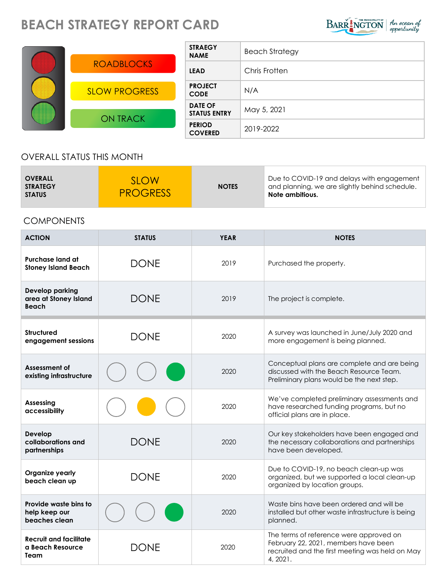## **BEACH STRATEGY REPORT CARD**



| <b>ROADBLOCKS</b>    |
|----------------------|
| <b>SLOW PROGRESS</b> |
| <b>ON TRACK</b>      |

| <b>STRAEGY</b><br><b>NAME</b>         | <b>Beach Strategy</b> |  |
|---------------------------------------|-----------------------|--|
| <b>LEAD</b>                           | Chris Frotten         |  |
| <b>PROJECT</b><br><b>CODE</b>         | N/A                   |  |
| <b>DATE OF</b><br><b>STATUS ENTRY</b> | May 5, 2021           |  |
| <b>PERIOD</b><br><b>COVERED</b>       | 2019-2022             |  |

## OVERALL STATUS THIS MONTH

## COMPONENTS

| <b>ACTION</b>                                                   | <b>STATUS</b> | <b>YEAR</b> | <b>NOTES</b>                                                                                                                                   |
|-----------------------------------------------------------------|---------------|-------------|------------------------------------------------------------------------------------------------------------------------------------------------|
| Purchase land at<br><b>Stoney Island Beach</b>                  | <b>DONE</b>   | 2019        | Purchased the property.                                                                                                                        |
| <b>Develop parking</b><br>area at Stoney Island<br><b>Beach</b> | <b>DONE</b>   | 2019        | The project is complete.                                                                                                                       |
| <b>Structured</b><br>engagement sessions                        | <b>DONE</b>   | 2020        | A survey was launched in June/July 2020 and<br>more engagement is being planned.                                                               |
| Assessment of<br>existing infrastructure                        |               | 2020        | Conceptual plans are complete and are being<br>discussed with the Beach Resource Team.<br>Preliminary plans would be the next step.            |
| <b>Assessing</b><br>accessibility                               |               | 2020        | We've completed preliminary assessments and<br>have researched funding programs, but no<br>official plans are in place.                        |
| Develop<br>collaborations and<br>partnerships                   | <b>DONE</b>   | 2020        | Our key stakeholders have been engaged and<br>the necessary collaborations and partnerships<br>have been developed.                            |
| Organize yearly<br>beach clean up                               | <b>DONE</b>   | 2020        | Due to COVID-19, no beach clean-up was<br>organized, but we supported a local clean-up<br>organized by location groups.                        |
| Provide waste bins to<br>help keep our<br>beaches clean         |               | 2020        | Waste bins have been ordered and will be<br>installed but other waste infrastructure is being<br>planned.                                      |
| <b>Recruit and facilitate</b><br>a Beach Resource<br>Team       | <b>DONF</b>   | 2020        | The terms of reference were approved on<br>February 22, 2021, members have been<br>recruited and the first meeting was held on May<br>4, 2021. |